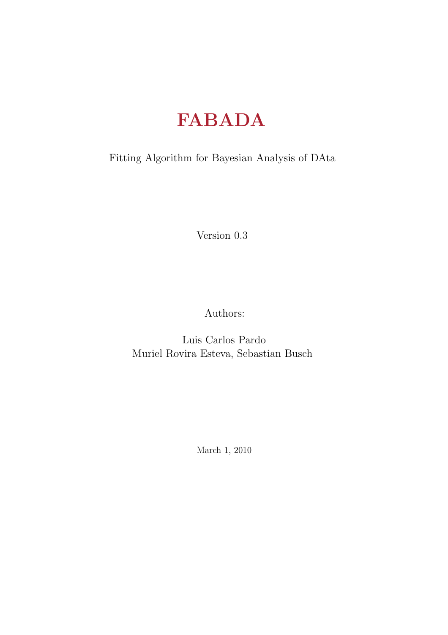# FABADA

Fitting Algorithm for Bayesian Analysis of DAta

Version 0.3

Authors:

Luis Carlos Pardo Muriel Rovira Esteva, Sebastian Busch

March 1, 2010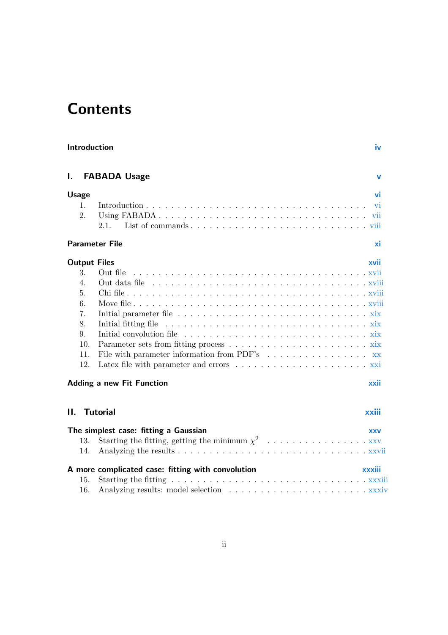# **Contents**

| Introduction |              |                                                   |            |
|--------------|--------------|---------------------------------------------------|------------|
| I.           |              | <b>FABADA Usage</b>                               | V          |
|              | <b>Usage</b> |                                                   | vi         |
|              | 1.           |                                                   | vi         |
|              | 2.           |                                                   |            |
|              |              | 2.1.                                              |            |
|              |              | <b>Parameter File</b>                             | хi         |
|              |              | <b>Output Files</b>                               | xvii       |
|              | 3.           | Out file                                          |            |
|              | 4.           |                                                   |            |
|              | 5.           |                                                   |            |
|              | 6.           |                                                   |            |
|              | 7.           |                                                   |            |
|              | 8.           | Initial fitting file                              |            |
|              | 9.           |                                                   |            |
|              | 10.<br>11.   |                                                   |            |
|              | 12.          | File with parameter information from PDF's xx     |            |
|              |              |                                                   |            |
|              |              | <b>Adding a new Fit Function</b>                  | xxii       |
| П.           |              | <b>Tutorial</b>                                   | xxiii      |
|              |              | The simplest case: fitting a Gaussian             | <b>XXV</b> |
|              | 13.          |                                                   |            |
|              | 14.          |                                                   |            |
|              |              | A more complicated case: fitting with convolution | xxxiii     |
|              | 15.          |                                                   |            |
|              | 16.          |                                                   |            |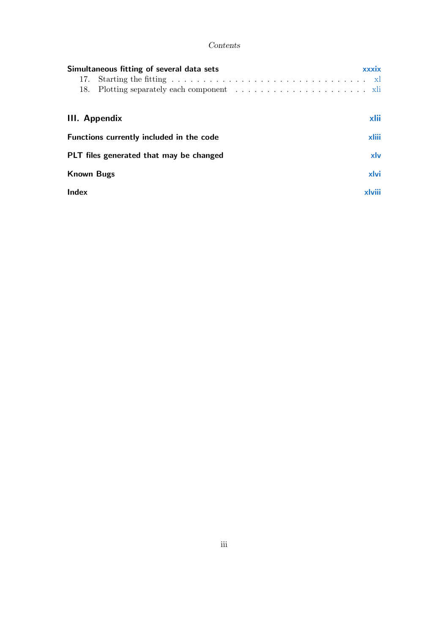#### Contents

| Simultaneous fitting of several data sets<br>Starting the fitting $\ldots \ldots \ldots \ldots \ldots \ldots \ldots \ldots \ldots \ldots$<br>17. | xxxix |  |  |
|--------------------------------------------------------------------------------------------------------------------------------------------------|-------|--|--|
| <b>III.</b> Appendix                                                                                                                             |       |  |  |
| Functions currently included in the code                                                                                                         |       |  |  |
| PLT files generated that may be changed                                                                                                          |       |  |  |
| <b>Known Bugs</b>                                                                                                                                | xlvi  |  |  |
| <b>Index</b>                                                                                                                                     |       |  |  |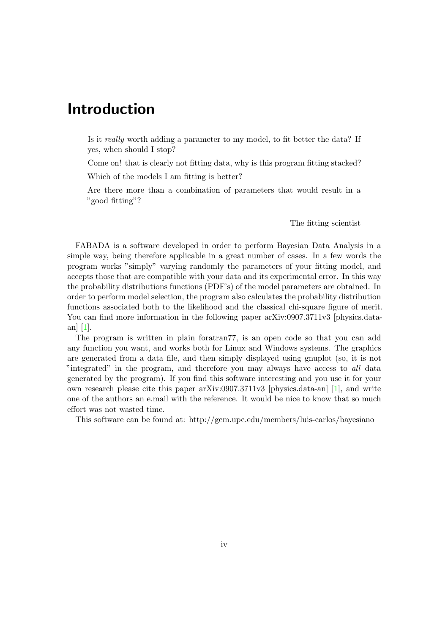# Introduction

Is it really worth adding a parameter to my model, to fit better the data? If yes, when should I stop?

Come on! that is clearly not fitting data, why is this program fitting stacked?

Which of the models I am fitting is better?

Are there more than a combination of parameters that would result in a "good fitting"?

The fitting scientist

FABADA is a software developed in order to perform Bayesian Data Analysis in a simple way, being therefore applicable in a great number of cases. In a few words the program works "simply" varying randomly the parameters of your fitting model, and accepts those that are compatible with your data and its experimental error. In this way the probability distributions functions (PDF's) of the model parameters are obtained. In order to perform model selection, the program also calculates the probability distribution functions associated both to the likelihood and the classical chi-square figure of merit. You can find more information in the following paper arXiv:0907.3711v3 [physics.dataan] [1].

The program is written in plain foratran77, is an open code so that you can add any function you want, and works both for Linux and Windows systems. The graphics are generated from a data file, and then simply displayed using gnuplot (so, it is not "integrated" in the program, and therefore you may always have access to all data generated by the program). If you find this software interesting and you use it for your own research please cite this paper arXiv:0907.3711v3 [physics.data-an] [1], and write one of the authors an e.mail with the reference. It would be nice to know that so much effort was not wasted time.

This software can be found at: http://gcm.upc.edu/members/luis-carlos/bayesiano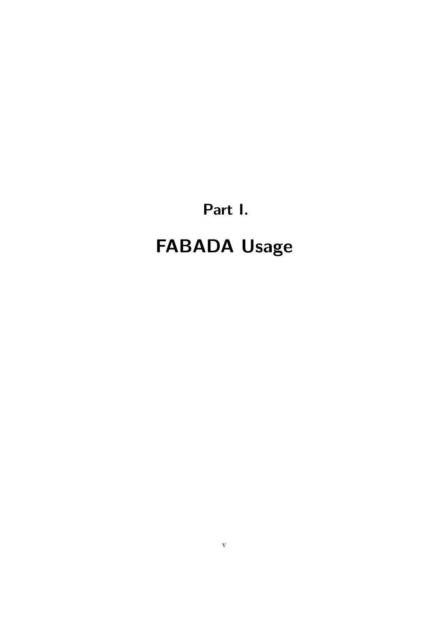Part I.

# FABADA Usage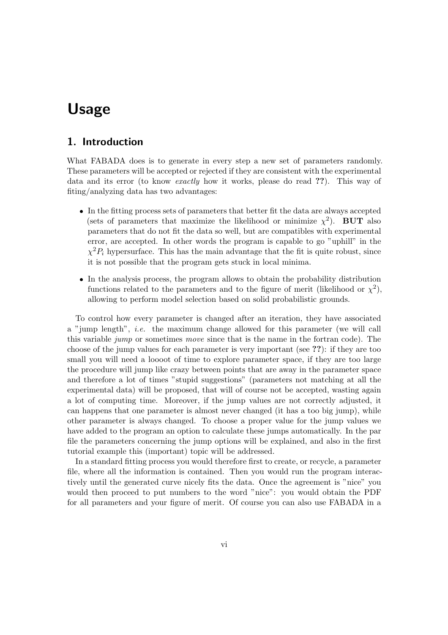### 1. Introduction

What FABADA does is to generate in every step a new set of parameters randomly. These parameters will be accepted or rejected if they are consistent with the experimental data and its error (to know exactly how it works, please do read ??). This way of fiting/analyzing data has two advantages:

- In the fitting process sets of parameters that better fit the data are always accepted (sets of parameters that maximize the likelihood or minimize  $\chi^2$ ). BUT also parameters that do not fit the data so well, but are compatibles with experimental error, are accepted. In other words the program is capable to go "uphill" in the  $\chi^2 P_i$  hypersurface. This has the main advantage that the fit is quite robust, since it is not possible that the program gets stuck in local minima.
- In the analysis process, the program allows to obtain the probability distribution functions related to the parameters and to the figure of merit (likelihood or  $\chi^2$ ), allowing to perform model selection based on solid probabilistic grounds.

To control how every parameter is changed after an iteration, they have associated a "jump length", i.e. the maximum change allowed for this parameter (we will call this variable jump or sometimes move since that is the name in the fortran code). The choose of the jump values for each parameter is very important (see ??): if they are too small you will need a loooot of time to explore parameter space, if they are too large the procedure will jump like crazy between points that are away in the parameter space and therefore a lot of times "stupid suggestions" (parameters not matching at all the experimental data) will be proposed, that will of course not be accepted, wasting again a lot of computing time. Moreover, if the jump values are not correctly adjusted, it can happens that one parameter is almost never changed (it has a too big jump), while other parameter is always changed. To choose a proper value for the jump values we have added to the program an option to calculate these jumps automatically. In the par file the parameters concerning the jump options will be explained, and also in the first tutorial example this (important) topic will be addressed.

In a standard fitting process you would therefore first to create, or recycle, a parameter file, where all the information is contained. Then you would run the program interactively until the generated curve nicely fits the data. Once the agreement is "nice" you would then proceed to put numbers to the word "nice": you would obtain the PDF for all parameters and your figure of merit. Of course you can also use FABADA in a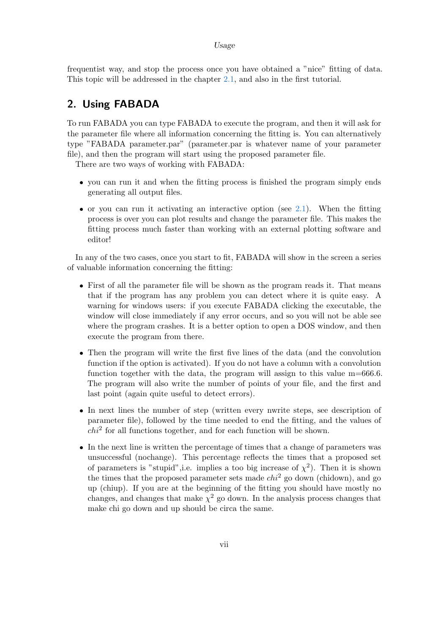frequentist way, and stop the process once you have obtained a "nice" fitting of data. This topic will be addressed in the chapter 2.1, and also in the first tutorial.

# 2. Using FABADA

To run FABADA you can type FABADA to execute the program, and then it will ask for the parameter file where all information concerning the fitting is. You can alternatively type "FABADA parameter.par" (parameter.par is whatever name of your parameter file), and then the program will start using the proposed parameter file.

There are two ways of working with FABADA:

- you can run it and when the fitting process is finished the program simply ends generating all output files.
- $\bullet$  or you can run it activating an interactive option (see 2.1). When the fitting process is over you can plot results and change the parameter file. This makes the fitting process much faster than working with an external plotting software and editor!

In any of the two cases, once you start to fit, FABADA will show in the screen a series of valuable information concerning the fitting:

- First of all the parameter file will be shown as the program reads it. That means that if the program has any problem you can detect where it is quite easy. A warning for windows users: if you execute FABADA clicking the executable, the window will close immediately if any error occurs, and so you will not be able see where the program crashes. It is a better option to open a DOS window, and then execute the program from there.
- Then the program will write the first five lines of the data (and the convolution function if the option is activated). If you do not have a column with a convolution function together with the data, the program will assign to this value m=666.6. The program will also write the number of points of your file, and the first and last point (again quite useful to detect errors).
- In next lines the number of step (written every nwrite steps, see description of parameter file), followed by the time needed to end the fitting, and the values of  $chi<sup>2</sup>$  for all functions together, and for each function will be shown.
- In the next line is written the percentage of times that a change of parameters was unsuccessful (nochange). This percentage reflects the times that a proposed set of parameters is "stupid", i.e. implies a too big increase of  $\chi^2$ ). Then it is shown the times that the proposed parameter sets made  $chi^2$  go down (chidown), and go up (chiup). If you are at the beginning of the fitting you should have mostly no changes, and changes that make  $\chi^2$  go down. In the analysis process changes that make chi go down and up should be circa the same.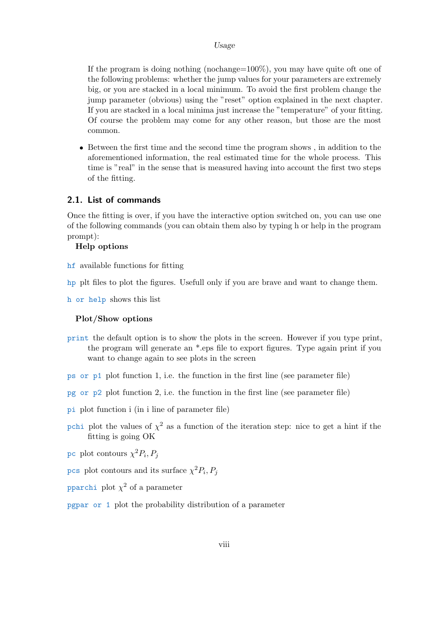If the program is doing nothing (nochange=100%), you may have quite oft one of the following problems: whether the jump values for your parameters are extremely big, or you are stacked in a local minimum. To avoid the first problem change the jump parameter (obvious) using the "reset" option explained in the next chapter. If you are stacked in a local minima just increase the "temperature" of your fitting. Of course the problem may come for any other reason, but those are the most common.

 Between the first time and the second time the program shows , in addition to the aforementioned information, the real estimated time for the whole process. This time is "real" in the sense that is measured having into account the first two steps of the fitting.

#### 2.1. List of commands

Once the fitting is over, if you have the interactive option switched on, you can use one of the following commands (you can obtain them also by typing h or help in the program prompt):

#### Help options

- hf available functions for fitting
- hp plt files to plot the figures. Usefull only if you are brave and want to change them.

h or help shows this list

#### Plot/Show options

- print the default option is to show the plots in the screen. However if you type print, the program will generate an \*.eps file to export figures. Type again print if you want to change again to see plots in the screen
- ps or p1 plot function 1, i.e. the function in the first line (see parameter file)
- pg or p2 plot function 2, i.e. the function in the first line (see parameter file)
- pi plot function i (in i line of parameter file)
- pchi plot the values of  $\chi^2$  as a function of the iteration step: nice to get a hint if the fitting is going OK
- pc plot contours  $\chi^2 P_i, P_j$
- pcs plot contours and its surface  $\chi^2 P_i, P_j$
- pparchi plot  $\chi^2$  of a parameter
- pgpar or 1 plot the probability distribution of a parameter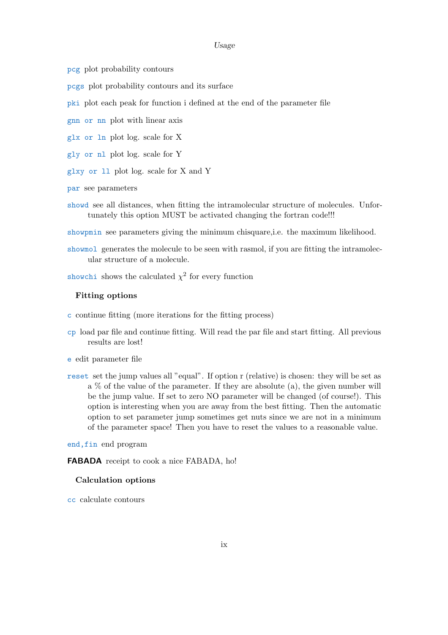pcg plot probability contours

pcgs plot probability contours and its surface

pki plot each peak for function i defined at the end of the parameter file

gnn or nn plot with linear axis

glx or ln plot log. scale for X

gly or nl plot log. scale for Y

glxy or ll plot log. scale for X and Y

par see parameters

showd see all distances, when fitting the intramolecular structure of molecules. Unfortunately this option MUST be activated changing the fortran code!!!

showpmin see parameters giving the minimum chisquare,i.e. the maximum likelihood.

showmol generates the molecule to be seen with rasmol, if you are fitting the intramolecular structure of a molecule.

showchi shows the calculated  $\chi^2$  for every function

#### Fitting options

c continue fitting (more iterations for the fitting process)

cp load par file and continue fitting. Will read the par file and start fitting. All previous results are lost!

e edit parameter file

reset set the jump values all "equal". If option r (relative) is chosen: they will be set as  $a \%$  of the value of the parameter. If they are absolute (a), the given number will be the jump value. If set to zero NO parameter will be changed (of course!). This option is interesting when you are away from the best fitting. Then the automatic option to set parameter jump sometimes get nuts since we are not in a minimum of the parameter space! Then you have to reset the values to a reasonable value.

end,fin end program

FABADA receipt to cook a nice FABADA, ho!

#### Calculation options

cc calculate contours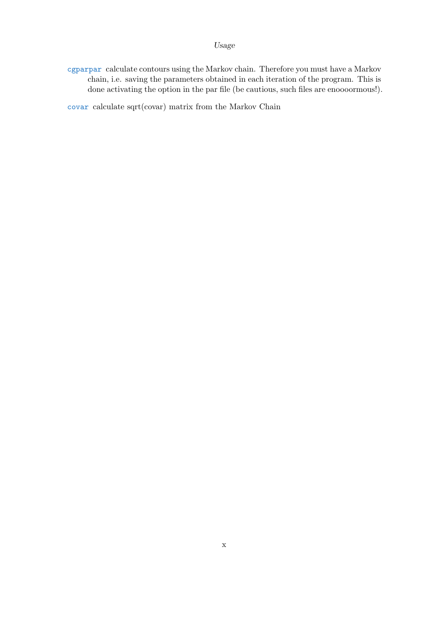cgparpar calculate contours using the Markov chain. Therefore you must have a Markov chain, i.e. saving the parameters obtained in each iteration of the program. This is done activating the option in the par file (be cautious, such files are enoooormous!).

covar calculate sqrt(covar) matrix from the Markov Chain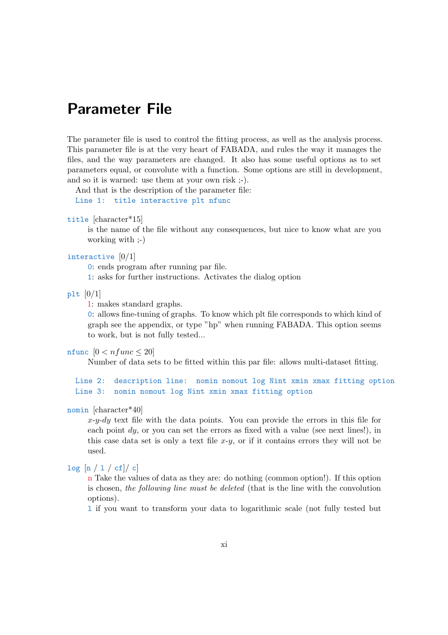The parameter file is used to control the fitting process, as well as the analysis process. This parameter file is at the very heart of FABADA, and rules the way it manages the files, and the way parameters are changed. It also has some useful options as to set parameters equal, or convolute with a function. Some options are still in development, and so it is warned: use them at your own risk ;-).

And that is the description of the parameter file:

Line 1: title interactive plt nfunc

```
title [character*15]
```
is the name of the file without any consequences, but nice to know what are you working with ;-)

#### interactive  $[0/1]$

0: ends program after running par file.

1: asks for further instructions. Activates the dialog option

plt  $[0/1]$ 

1: makes standard graphs.

0: allows fine-tuning of graphs. To know which plt file corresponds to which kind of graph see the appendix, or type "hp" when running FABADA. This option seems to work, but is not fully tested...

nfunc  $[0 < nfunc \leq 20]$ 

Number of data sets to be fitted within this par file: allows multi-dataset fitting.

Line 2: description line: nomin nomout log Nint xmin xmax fitting option Line 3: nomin nomout log Nint xmin xmax fitting option

#### nomin [character\*40]

 $x-y-dy$  text file with the data points. You can provide the errors in this file for each point  $dy$ , or you can set the errors as fixed with a value (see next lines!), in this case data set is only a text file  $x-y$ , or if it contains errors they will not be used.

#### $log [n / 1 / cf]/ c]$

n Take the values of data as they are: do nothing (common option!). If this option is chosen, the following line must be deleted (that is the line with the convolution options).

l if you want to transform your data to logarithmic scale (not fully tested but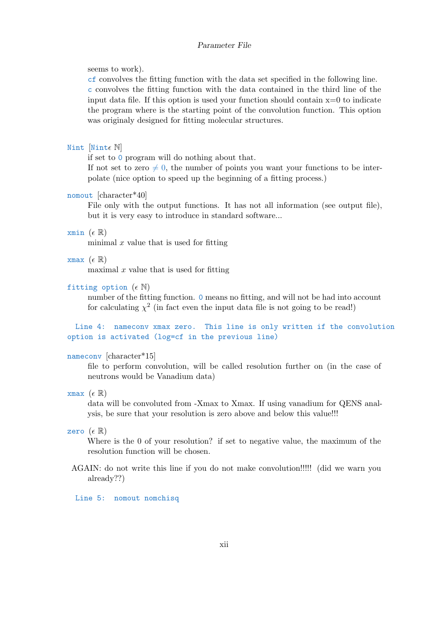#### seems to work).

cf convolves the fitting function with the data set specified in the following line. c convolves the fitting function with the data contained in the third line of the input data file. If this option is used your function should contain  $x=0$  to indicate the program where is the starting point of the convolution function. This option was originaly designed for fitting molecular structures.

#### Nint [Nint $\epsilon$  N]

if set to 0 program will do nothing about that.

If not set to zero  $\neq 0$ , the number of points you want your functions to be interpolate (nice option to speed up the beginning of a fitting process.)

#### nomout [character\*40]

File only with the output functions. It has not all information (see output file), but it is very easy to introduce in standard software...

#### xmin  $(\epsilon \mathbb{R})$

minimal  $x$  value that is used for fitting

#### xmax  $(\epsilon \mathbb{R})$

maximal  $x$  value that is used for fitting

#### fitting option  $(\epsilon \mathbb{N})$

number of the fitting function. 0 means no fitting, and will not be had into account for calculating  $\chi^2$  (in fact even the input data file is not going to be read!)

Line 4: nameconv xmax zero. This line is only written if the convolution option is activated (log=cf in the previous line)

#### nameconv [character\*15]

file to perform convolution, will be called resolution further on (in the case of neutrons would be Vanadium data)

#### xmax  $(\epsilon \mathbb{R})$

data will be convoluted from -Xmax to Xmax. If using vanadium for QENS analysis, be sure that your resolution is zero above and below this value!!!

#### zero  $(\epsilon \mathbb{R})$

Where is the 0 of your resolution? if set to negative value, the maximum of the resolution function will be chosen.

AGAIN: do not write this line if you do not make convolution!!!!! (did we warn you already??)

Line 5: nomout nomchisq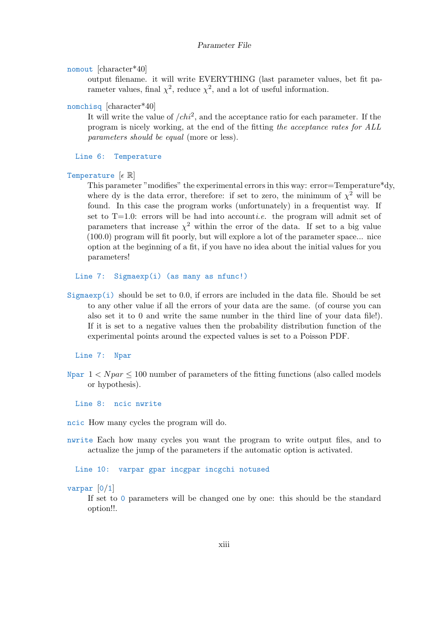```
nomout [character*40]
```
output filename. it will write EVERYTHING (last parameter values, bet fit parameter values, final  $\chi^2$ , reduce  $\chi^2$ , and a lot of useful information.

#### nomchisq [character\*40]

It will write the value of  $\ell h^2$ , and the acceptance ratio for each parameter. If the program is nicely working, at the end of the fitting the acceptance rates for ALL parameters should be equal (more or less).

Line 6: Temperature

```
Temperature [\epsilon \mathbb{R}]
```
This parameter "modifies" the experimental errors in this way: error=Temperature\*dy, where dy is the data error, therefore: if set to zero, the minimum of  $\chi^2$  will be found. In this case the program works (unfortunately) in a frequentist way. If set to  $T=1.0$ : errors will be had into accountie. the program will admit set of parameters that increase  $\chi^2$  within the error of the data. If set to a big value (100.0) program will fit poorly, but will explore a lot of the parameter space... nice option at the beginning of a fit, if you have no idea about the initial values for you parameters!

Line 7: Sigmaexp(i) (as many as nfunc!)

Sigmaexp $(i)$  should be set to 0.0, if errors are included in the data file. Should be set to any other value if all the errors of your data are the same. (of course you can also set it to 0 and write the same number in the third line of your data file!). If it is set to a negative values then the probability distribution function of the experimental points around the expected values is set to a Poisson PDF.

Line 7: Npar

Npar  $1 < Npar \leq 100$  number of parameters of the fitting functions (also called models or hypothesis).

Line 8: ncic nwrite

ncic How many cycles the program will do.

nwrite Each how many cycles you want the program to write output files, and to actualize the jump of the parameters if the automatic option is activated.

Line 10: varpar gpar incgpar incgchi notused

varpar [0/1]

If set to 0 parameters will be changed one by one: this should be the standard option!!.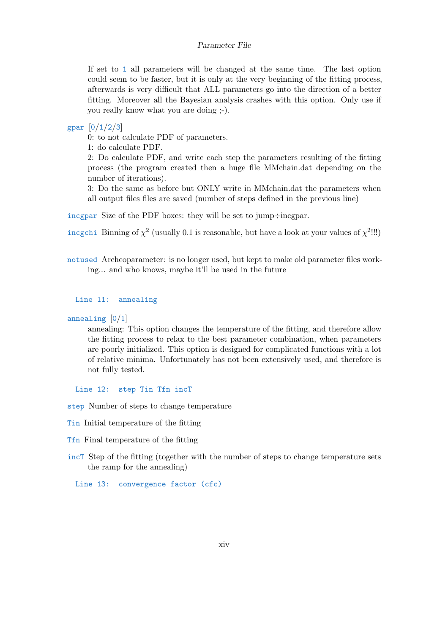If set to 1 all parameters will be changed at the same time. The last option could seem to be faster, but it is only at the very beginning of the fitting process, afterwards is very difficult that ALL parameters go into the direction of a better fitting. Moreover all the Bayesian analysis crashes with this option. Only use if you really know what you are doing ;-).

#### gpar [0/1/2/3]

0: to not calculate PDF of parameters.

1: do calculate PDF.

2: Do calculate PDF, and write each step the parameters resulting of the fitting process (the program created then a huge file MMchain.dat depending on the number of iterations).

3: Do the same as before but ONLY write in MMchain.dat the parameters when all output files files are saved (number of steps defined in the previous line)

incgpar Size of the PDF boxes: they will be set to jump÷incgpar.

incgchi Binning of  $\chi^2$  (usually 0.1 is reasonable, but have a look at your values of  $\chi^2$ !!!)

notused Archeoparameter: is no longer used, but kept to make old parameter files working... and who knows, maybe it'll be used in the future

#### Line 11: annealing

annealing [0/1]

annealing: This option changes the temperature of the fitting, and therefore allow the fitting process to relax to the best parameter combination, when parameters are poorly initialized. This option is designed for complicated functions with a lot of relative minima. Unfortunately has not been extensively used, and therefore is not fully tested.

Line 12: step Tin Tfn incT

step Number of steps to change temperature

- Tin Initial temperature of the fitting
- Tfn Final temperature of the fitting
- incT Step of the fitting (together with the number of steps to change temperature sets the ramp for the annealing)

Line 13: convergence factor (cfc)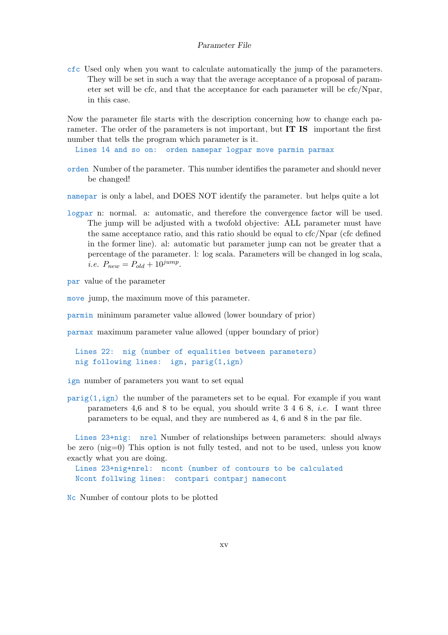cfc Used only when you want to calculate automatically the jump of the parameters. They will be set in such a way that the average acceptance of a proposal of parameter set will be cfc, and that the acceptance for each parameter will be cfc/Npar, in this case.

Now the parameter file starts with the description concerning how to change each parameter. The order of the parameters is not important, but **IT IS** important the first number that tells the program which parameter is it.

Lines 14 and so on: orden namepar logpar move parmin parmax

- orden Number of the parameter. This number identifies the parameter and should never be changed!
- namepar is only a label, and DOES NOT identify the parameter. but helps quite a lot
- logpar n: normal. a: automatic, and therefore the convergence factor will be used. The jump will be adjusted with a twofold objective: ALL parameter must have the same acceptance ratio, and this ratio should be equal to cfc/Npar (cfc defined in the former line). al: automatic but parameter jump can not be greater that a percentage of the parameter. l: log scala. Parameters will be changed in log scala, *i.e.*  $P_{new} = P_{old} + 10^{jump}$ .

par value of the parameter

move jump, the maximum move of this parameter.

parmin minimum parameter value allowed (lower boundary of prior)

parmax maximum parameter value allowed (upper boundary of prior)

Lines 22: nig (number of equalities between parameters) nig following lines: ign, parig(1,ign)

ign number of parameters you want to set equal

 $\text{parig}(1, \text{ign})$  the number of the parameters set to be equal. For example if you want parameters 4,6 and 8 to be equal, you should write  $3\,4\,6\,8$ , *i.e.* I want three parameters to be equal, and they are numbered as 4, 6 and 8 in the par file.

Lines 23+nig: nrel Number of relationships between parameters: should always be zero (nig=0) This option is not fully tested, and not to be used, unless you know exactly what you are doing.

Lines 23+nig+nrel: ncont (number of contours to be calculated Ncont follwing lines: contpari contparj namecont

Nc Number of contour plots to be plotted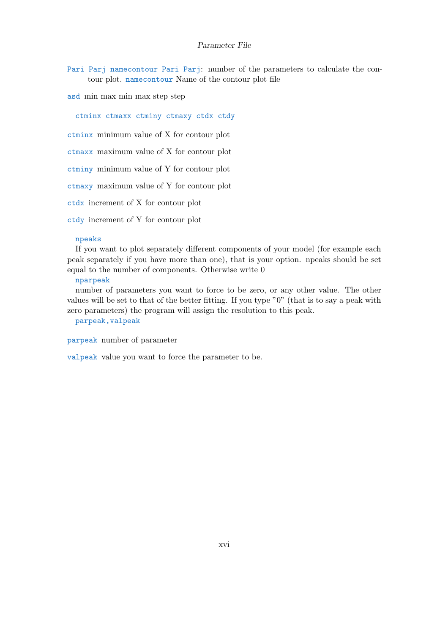Pari Parj namecontour Pari Parj: number of the parameters to calculate the contour plot. namecontour Name of the contour plot file

asd min max min max step step

ctminx ctmaxx ctminy ctmaxy ctdx ctdy

ctminx minimum value of X for contour plot

ctmaxx maximum value of X for contour plot

ctminy minimum value of Y for contour plot

ctmaxy maximum value of Y for contour plot

ctdx increment of X for contour plot

ctdy increment of Y for contour plot

#### npeaks

If you want to plot separately different components of your model (for example each peak separately if you have more than one), that is your option. npeaks should be set equal to the number of components. Otherwise write 0

#### nparpeak

number of parameters you want to force to be zero, or any other value. The other values will be set to that of the better fitting. If you type "0" (that is to say a peak with zero parameters) the program will assign the resolution to this peak.

#### parpeak,valpeak

parpeak number of parameter

valpeak value you want to force the parameter to be.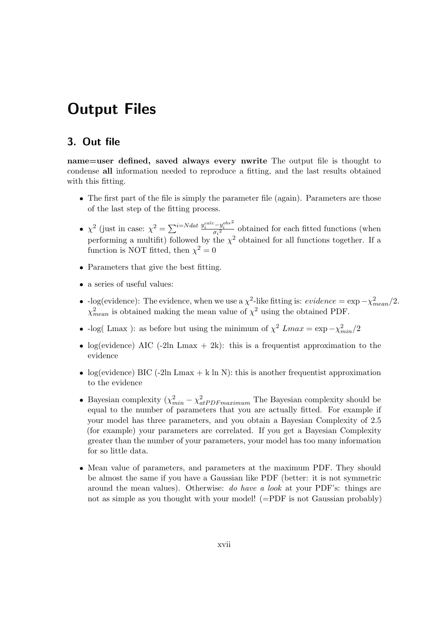# Output Files

## 3. Out file

name=user defined, saved always every nwrite The output file is thought to condense all information needed to reproduce a fitting, and the last results obtained with this fitting.

- The first part of the file is simply the parameter file (again). Parameters are those of the last step of the fitting process.
- $\chi^2$  (just in case:  $\chi^2 = \sum_{i=N}^{i=N} \frac{1}{2} \frac{y_i^{calc} y_i^{obs}}{\sigma^2}$  $\frac{-y_i}{\sigma_i^2}$  obtained for each fitted functions (when performing a multifit) followed by the  $\chi^2$  obtained for all functions together. If a function is NOT fitted, then  $\chi^2 = 0$
- Parameters that give the best fitting.
- a series of useful values:
- log(evidence): The evidence, when we use a  $\chi^2$ -like fitting is: *evidence* =  $\exp(-\chi^2_{mean}/2$ .  $\chi^2_{mean}$  is obtained making the mean value of  $\chi^2$  using the obtained PDF.
- -log( Lmax ): as before but using the minimum of  $\chi^2$  Lmax = exp - $\chi^2_{min}/2$
- log(evidence) AIC (-2ln Lmax  $+ 2k$ ): this is a frequentist approximation to the evidence
- log(evidence) BIC (-2ln Lmax + k ln N): this is another frequentist approximation to the evidence
- Bayesian complexity  $(\chi^2_{min} \chi^2_{atPDFmaximum})$  The Bayesian complexity should be equal to the number of parameters that you are actually fitted. For example if your model has three parameters, and you obtain a Bayesian Complexity of 2.5 (for example) your parameters are correlated. If you get a Bayesian Complexity greater than the number of your parameters, your model has too many information for so little data.
- Mean value of parameters, and parameters at the maximum PDF. They should be almost the same if you have a Gaussian like PDF (better: it is not symmetric around the mean values). Otherwise: do have a look at your PDF's: things are not as simple as you thought with your model! (=PDF is not Gaussian probably)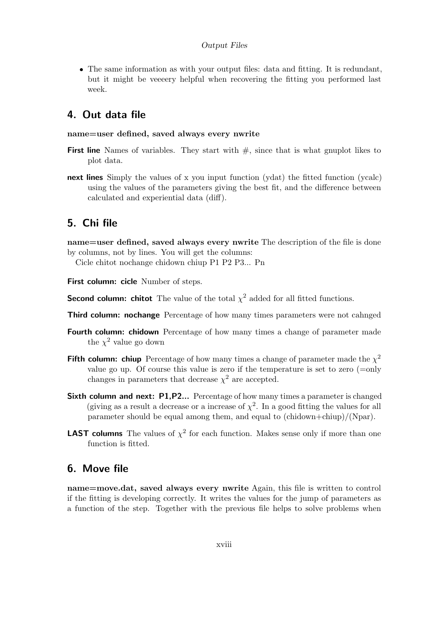#### Output Files

 The same information as with your output files: data and fitting. It is redundant, but it might be veeeery helpful when recovering the fitting you performed last week.

### 4. Out data file

#### name=user defined, saved always every nwrite

- **First line** Names of variables. They start with  $\#$ , since that is what gnuplot likes to plot data.
- next lines Simply the values of x you input function (ydat) the fitted function (ycalc) using the values of the parameters giving the best fit, and the difference between calculated and experiential data (diff).

### 5. Chi file

name=user defined, saved always every nwrite The description of the file is done by columns, not by lines. You will get the columns:

Cicle chitot nochange chidown chiup P1 P2 P3... Pn

- First column: cicle Number of steps.
- **Second column: chitot** The value of the total  $\chi^2$  added for all fitted functions.
- Third column: nochange Percentage of how many times parameters were not cahnged
- **Fourth column: chidown** Percentage of how many times a change of parameter made the  $\chi^2$  value go down
- Fifth column: chiup Percentage of how many times a change of parameter made the  $\chi^2$ value go up. Of course this value is zero if the temperature is set to zero (=only changes in parameters that decrease  $\chi^2$  are accepted.
- Sixth column and next: P1,P2... Percentage of how many times a parameter is changed (giving as a result a decrease or a increase of  $\chi^2$ . In a good fitting the values for all parameter should be equal among them, and equal to (chidown+chiup)/(Npar).
- **LAST columns** The values of  $\chi^2$  for each function. Makes sense only if more than one function is fitted.

### 6. Move file

name=move.dat, saved always every nwrite Again, this file is written to control if the fitting is developing correctly. It writes the values for the jump of parameters as a function of the step. Together with the previous file helps to solve problems when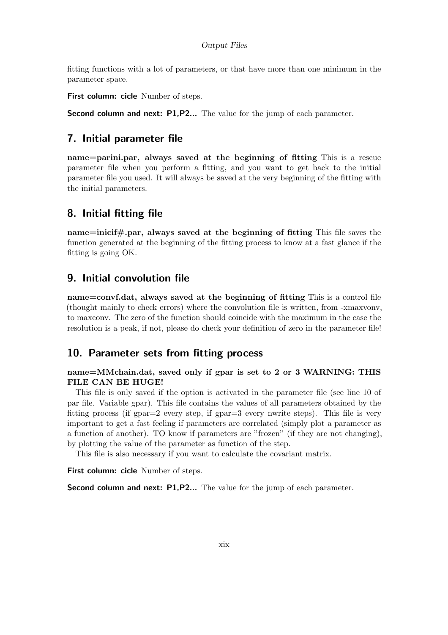fitting functions with a lot of parameters, or that have more than one minimum in the parameter space.

First column: cicle Number of steps.

Second column and next: P1, P2... The value for the jump of each parameter.

### 7. Initial parameter file

name=parini.par, always saved at the beginning of fitting This is a rescue parameter file when you perform a fitting, and you want to get back to the initial parameter file you used. It will always be saved at the very beginning of the fitting with the initial parameters.

### 8. Initial fitting file

name=inicif#.par, always saved at the beginning of fitting This file saves the function generated at the beginning of the fitting process to know at a fast glance if the fitting is going OK.

### 9. Initial convolution file

name=convf.dat, always saved at the beginning of fitting This is a control file (thought mainly to check errors) where the convolution file is written, from -xmaxvonv, to maxconv. The zero of the function should coincide with the maximum in the case the resolution is a peak, if not, please do check your definition of zero in the parameter file!

### 10. Parameter sets from fitting process

name=MMchain.dat, saved only if gpar is set to 2 or 3 WARNING: THIS FILE CAN BE HUGE!

This file is only saved if the option is activated in the parameter file (see line 10 of par file. Variable gpar). This file contains the values of all parameters obtained by the fitting process (if  $g_{par}=2$  every step, if  $g_{par}=3$  every nwrite steps). This file is very important to get a fast feeling if parameters are correlated (simply plot a parameter as a function of another). TO know if parameters are "frozen" (if they are not changing), by plotting the value of the parameter as function of the step.

This file is also necessary if you want to calculate the covariant matrix.

First column: cicle Number of steps.

**Second column and next: P1,P2...** The value for the jump of each parameter.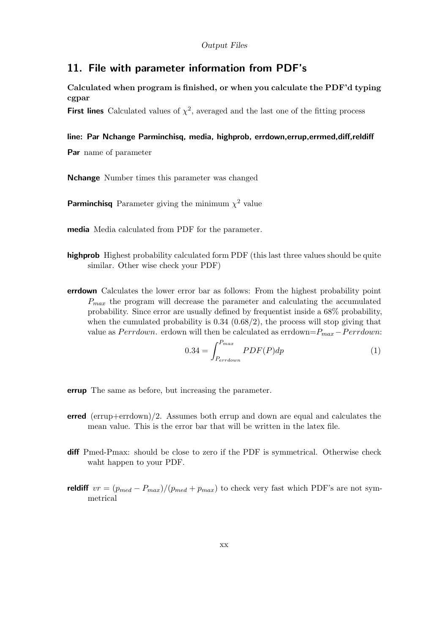### 11. File with parameter information from PDF's

Calculated when program is finished, or when you calculate the PDF'd typing cgpar

First lines Calculated values of  $\chi^2$ , averaged and the last one of the fitting process

#### line: Par Nchange Parminchisq, media, highprob, errdown,errup,errmed,diff,reldiff

Par name of parameter

Nchange Number times this parameter was changed

**Parminchisq** Parameter giving the minimum  $\chi^2$  value

media Media calculated from PDF for the parameter.

- highprob Highest probability calculated form PDF (this last three values should be quite similar. Other wise check your PDF)
- errdown Calculates the lower error bar as follows: From the highest probability point  $P_{max}$  the program will decrease the parameter and calculating the accumulated probability. Since error are usually defined by frequentist inside a 68% probability, when the cumulated probability is  $0.34$   $(0.68/2)$ , the process will stop giving that value as  $Perrdown$ . erdown will then be calculated as  $errdown=P_{max}-Perrdown$ :

$$
0.34 = \int_{P_{errdown}}^{P_{max}} PDF(P)dp
$$
\n(1)

- errup The same as before, but increasing the parameter.
- $erred$  (errup+errdown)/2. Assumes both errup and down are equal and calculates the mean value. This is the error bar that will be written in the latex file.
- diff Pmed-Pmax: should be close to zero if the PDF is symmetrical. Otherwise check waht happen to your PDF.
- reldiff  $vr = (p_{med} P_{max})/(p_{med} + p_{max})$  to check very fast which PDF's are not symmetrical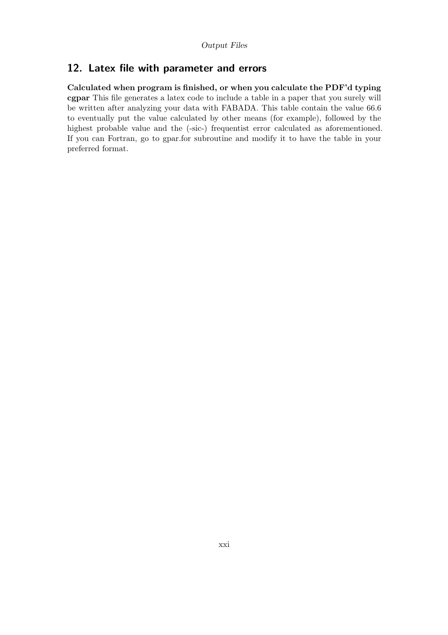# 12. Latex file with parameter and errors

Calculated when program is finished, or when you calculate the PDF'd typing cgpar This file generates a latex code to include a table in a paper that you surely will be written after analyzing your data with FABADA. This table contain the value 66.6 to eventually put the value calculated by other means (for example), followed by the highest probable value and the (-sic-) frequentist error calculated as aforementioned. If you can Fortran, go to gpar.for subroutine and modify it to have the table in your preferred format.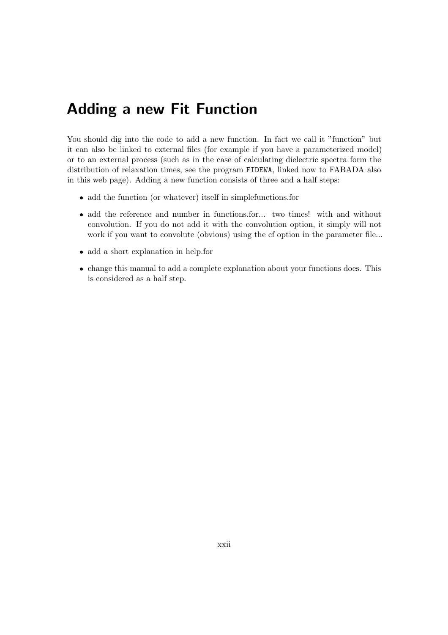# Adding a new Fit Function

You should dig into the code to add a new function. In fact we call it "function" but it can also be linked to external files (for example if you have a parameterized model) or to an external process (such as in the case of calculating dielectric spectra form the distribution of relaxation times, see the program FIDEWA, linked now to FABADA also in this web page). Adding a new function consists of three and a half steps:

- add the function (or whatever) itself in simplefunctions.for
- add the reference and number in functions.for... two times! with and without convolution. If you do not add it with the convolution option, it simply will not work if you want to convolute (obvious) using the cf option in the parameter file...
- add a short explanation in help.for
- change this manual to add a complete explanation about your functions does. This is considered as a half step.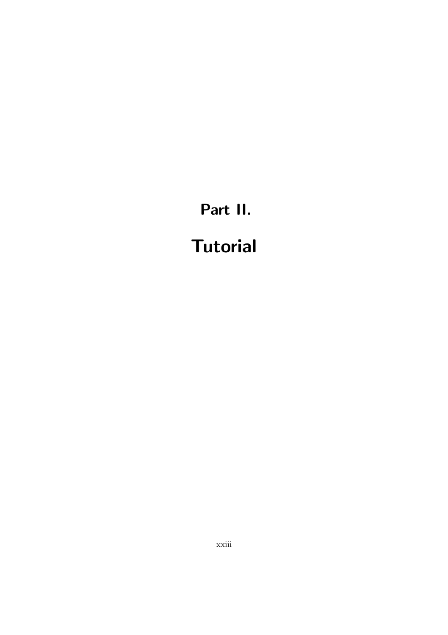# Part II. **Tutorial**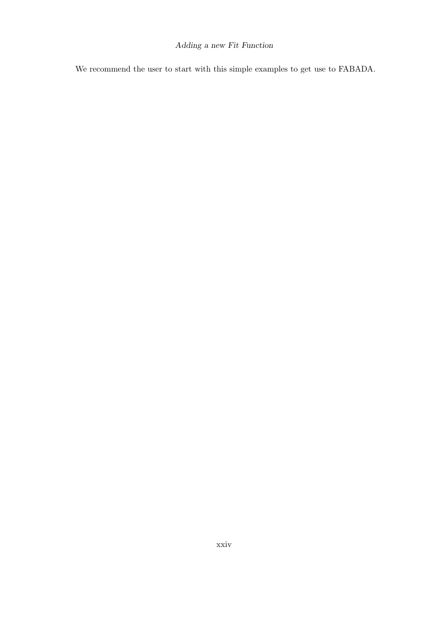### Adding a new Fit Function

We recommend the user to start with this simple examples to get use to FABADA.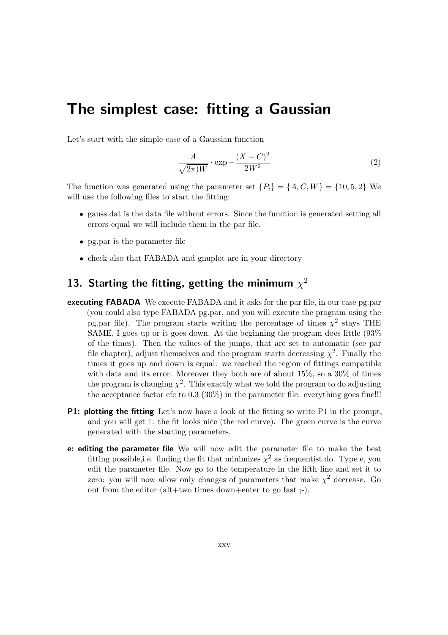# The simplest case: fitting a Gaussian

Let's start with the simple case of a Gaussian function

$$
\frac{A}{\sqrt{2\pi W}} \cdot \exp\left(-\frac{(X-C)^2}{2W^2}\right) \tag{2}
$$

The function was generated using the parameter set  $\{P_i\} = \{A, C, W\} = \{10, 5, 2\}$  We will use the following files to start the fitting:

- gauss.dat is the data file without errors. Since the function is generated setting all errors equal we will include them in the par file.
- pg.par is the parameter file
- check also that FABADA and gnuplot are in your directory

# 13. Starting the fitting, getting the minimum  $\chi^2$

- executing FABADA We execute FABADA and it asks for the par file, in our case pg.par (you could also type FABADA pg.par, and you will execute the program using the pg.par file). The program starts writing the percentage of times  $\chi^2$  stays THE SAME, I goes up or it goes down. At the beginning the program does little (93% of the times). Then the values of the jumps, that are set to automatic (see par file chapter), adjust themselves and the program starts decreasing  $\chi^2$ . Finally the times it goes up and down is equal: we reached the region of fittings compatible with data and its error. Moreover they both are of about  $15\%$ , so a  $30\%$  of times the program is changing  $\chi^2$ . This exactly what we told the program to do adjusting the acceptance factor cfc to  $0.3$  ( $30\%$ ) in the parameter file: everything goes fine!!!
- **P1:** plotting the fitting Let's now have a look at the fitting so write P1 in the prompt, and you will get 1: the fit looks nice (the red curve). The green curve is the curve generated with the starting parameters.
- e: editing the parameter file We will now edit the parameter file to make the best fitting possible, i.e. finding the fit that minimizes  $\chi^2$  as frequentist do. Type e, you edit the parameter file. Now go to the temperature in the fifth line and set it to zero: you will now allow only changes of parameters that make  $\chi^2$  decrease. Go out from the editor (alt+two times down+enter to go fast ;-).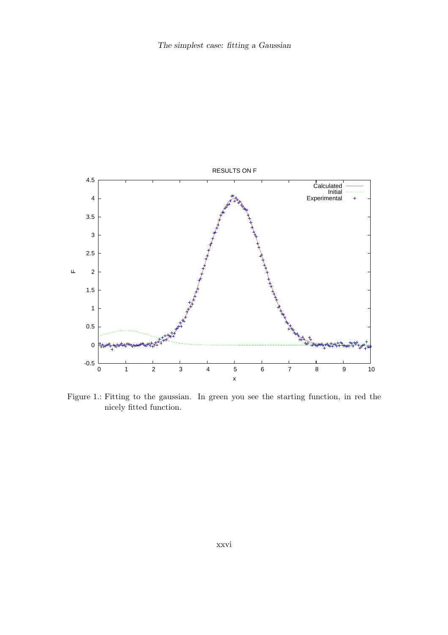

Figure 1.: Fitting to the gaussian. In green you see the starting function, in red the nicely fitted function.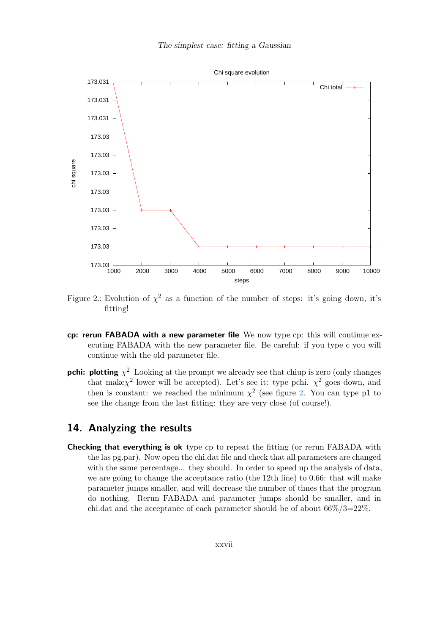

Figure 2.: Evolution of  $\chi^2$  as a function of the number of steps: it's going down, it's fitting!

- cp: rerun FABADA with a new parameter file We now type cp: this will continue executing FABADA with the new parameter file. Be careful: if you type c you will continue with the old parameter file.
- **pchi:** plotting  $\chi^2$  Looking at the prompt we already see that chiup is zero (only changes that make $\chi^2$  lower will be accepted). Let's see it: type pchi.  $\chi^2$  goes down, and then is constant: we reached the minimum  $\chi^2$  (see figure 2. You can type p1 to see the change from the last fitting: they are very close (of course!).

# 14. Analyzing the results

**Checking that everything is ok** type cp to repeat the fitting (or rerun FABADA with the las pg.par). Now open the chi.dat file and check that all parameters are changed with the same percentage... they should. In order to speed up the analysis of data, we are going to change the acceptance ratio (the 12th line) to 0.66: that will make parameter jumps smaller, and will decrease the number of times that the program do nothing. Rerun FABADA and parameter jumps should be smaller, and in chi.dat and the acceptance of each parameter should be of about  $66\%/3=22\%$ .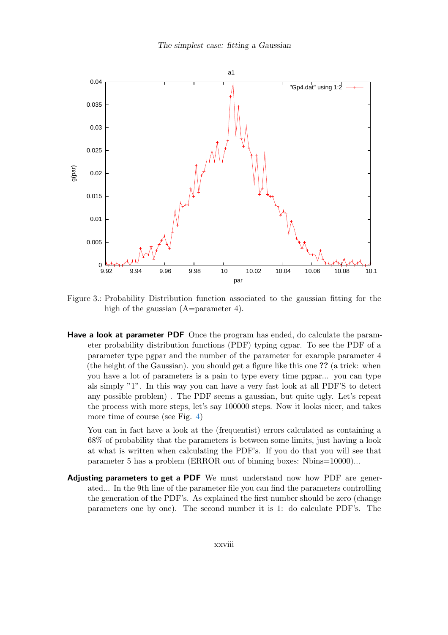

Figure 3.: Probability Distribution function associated to the gaussian fitting for the high of the gaussian (A=parameter 4).

Have a look at parameter PDF Once the program has ended, do calculate the parameter probability distribution functions (PDF) typing cgpar. To see the PDF of a parameter type pgpar and the number of the parameter for example parameter 4 (the height of the Gaussian). you should get a figure like this one ?? (a trick: when you have a lot of parameters is a pain to type every time pgpar... you can type als simply "1". In this way you can have a very fast look at all PDF'S to detect any possible problem) . The PDF seems a gaussian, but quite ugly. Let's repeat the process with more steps, let's say 100000 steps. Now it looks nicer, and takes more time of course (see Fig. 4)

You can in fact have a look at the (frequentist) errors calculated as containing a 68% of probability that the parameters is between some limits, just having a look at what is written when calculating the PDF's. If you do that you will see that parameter 5 has a problem (ERROR out of binning boxes: Nbins=10000)...

Adjusting parameters to get a PDF We must understand now how PDF are generated... In the 9th line of the parameter file you can find the parameters controlling the generation of the PDF's. As explained the first number should be zero (change parameters one by one). The second number it is 1: do calculate PDF's. The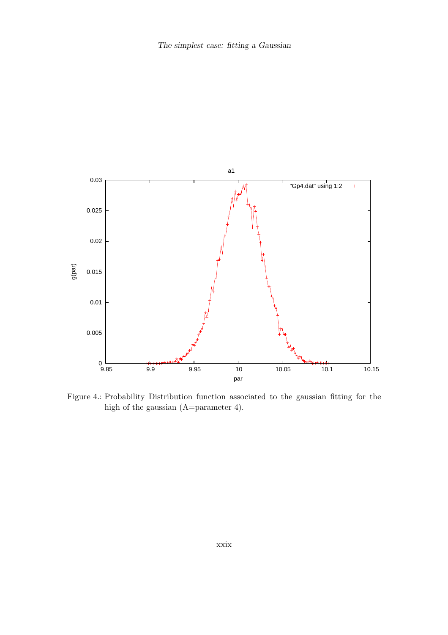

Figure 4.: Probability Distribution function associated to the gaussian fitting for the high of the gaussian (A=parameter 4).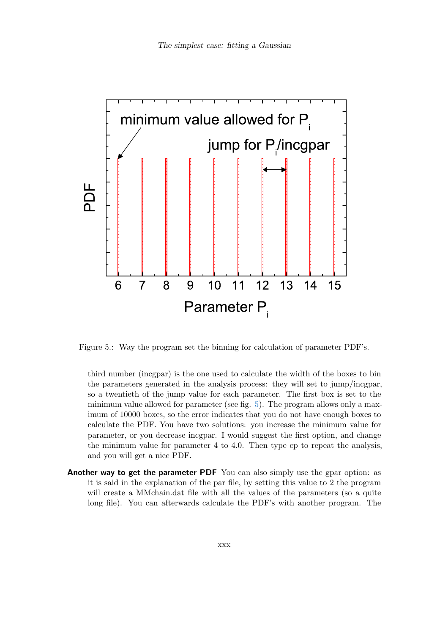

Figure 5.: Way the program set the binning for calculation of parameter PDF's.

third number (incgpar) is the one used to calculate the width of the boxes to bin the parameters generated in the analysis process: they will set to jump/incgpar, so a twentieth of the jump value for each parameter. The first box is set to the minimum value allowed for parameter (see fig. 5). The program allows only a maximum of 10000 boxes, so the error indicates that you do not have enough boxes to calculate the PDF. You have two solutions: you increase the minimum value for parameter, or you decrease incgpar. I would suggest the first option, and change the minimum value for parameter 4 to 4.0. Then type cp to repeat the analysis, and you will get a nice PDF.

Another way to get the parameter PDF You can also simply use the gpar option: as it is said in the explanation of the par file, by setting this value to 2 the program will create a MMchain.dat file with all the values of the parameters (so a quite long file). You can afterwards calculate the PDF's with another program. The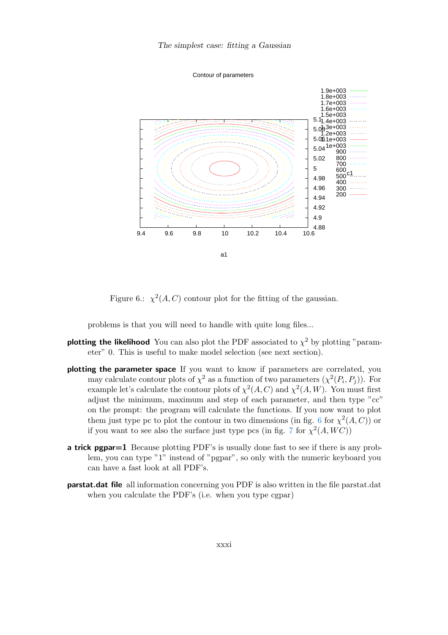



Figure 6.:  $\chi^2(A, C)$  contour plot for the fitting of the gaussian.

problems is that you will need to handle with quite long files...

- **plotting the likelihood** You can also plot the PDF associated to  $\chi^2$  by plotting "parameter" 0. This is useful to make model selection (see next section).
- plotting the parameter space If you want to know if parameters are correlated, you may calculate contour plots of  $\chi^2$  as a function of two parameters  $(\chi^2(P_i, P_j))$ . For example let's calculate the contour plots of  $\chi^2(A, C)$  and  $\chi^2(A, W)$ . You must first adjust the minimum, maximum and step of each parameter, and then type "cc" on the prompt: the program will calculate the functions. If you now want to plot them just type pc to plot the contour in two dimensions (in fig. 6 for  $\chi^2(A, C)$ ) or if you want to see also the surface just type pcs (in fig. 7 for  $\chi^2(A, WC)$ )
- a trick pgpar=1 Because plotting PDF's is usually done fast to see if there is any problem, you can type "1" instead of "pgpar", so only with the numeric keyboard you can have a fast look at all PDF's.
- **parstat.dat file** all information concerning you PDF is also written in the file parstat.dat when you calculate the PDF's (i.e. when you type cgpar)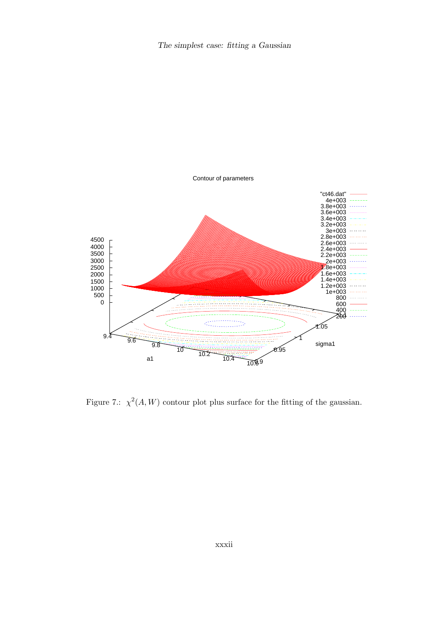

Figure 7.:  $\chi^2(A, W)$  contour plot plus surface for the fitting of the gaussian.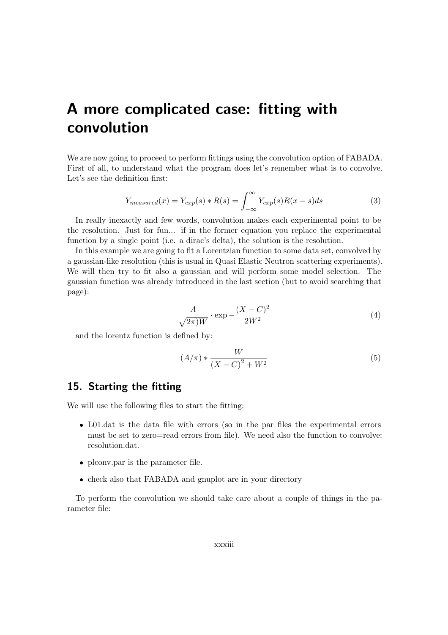# A more complicated case: fitting with convolution

We are now going to proceed to perform fittings using the convolution option of FABADA. First of all, to understand what the program does let's remember what is to convolve. Let's see the definition first:

$$
Y_{measured}(x) = Y_{exp}(s) * R(s) = \int_{-\infty}^{\infty} Y_{exp}(s)R(x-s)ds
$$
\n(3)

In really inexactly and few words, convolution makes each experimental point to be the resolution. Just for fun... if in the former equation you replace the experimental function by a single point (i.e. a dirac's delta), the solution is the resolution.

In this example we are going to fit a Lorentzian function to some data set, convolved by a gaussian-like resolution (this is usual in Quasi Elastic Neutron scattering experiments). We will then try to fit also a gaussian and will perform some model selection. The gaussian function was already introduced in the last section (but to avoid searching that page):

$$
\frac{A}{\sqrt{2\pi W}} \cdot \exp\left(-\frac{(X-C)^2}{2W^2}\right) \tag{4}
$$

and the lorentz function is defined by:

$$
(A/\pi) * \frac{W}{(X-C)^2 + W^2}
$$
 (5)

# 15. Starting the fitting

We will use the following files to start the fitting:

- L01.dat is the data file with errors (so in the par files the experimental errors must be set to zero=read errors from file). We need also the function to convolve: resolution.dat.
- plconv.par is the parameter file.
- check also that FABADA and gnuplot are in your directory

To perform the convolution we should take care about a couple of things in the parameter file: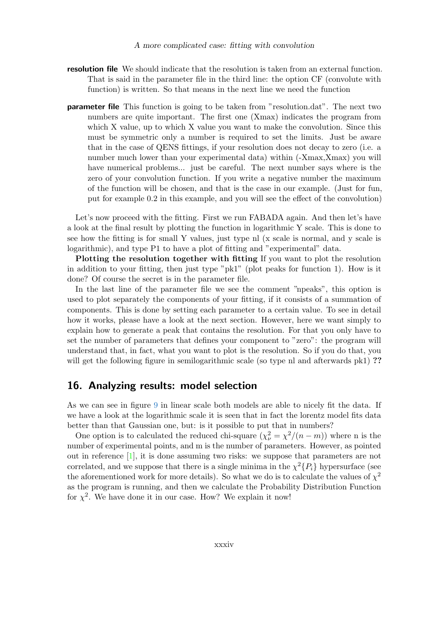- resolution file We should indicate that the resolution is taken from an external function. That is said in the parameter file in the third line: the option CF (convolute with function) is written. So that means in the next line we need the function
- parameter file This function is going to be taken from "resolution.dat". The next two numbers are quite important. The first one (Xmax) indicates the program from which X value, up to which X value you want to make the convolution. Since this must be symmetric only a number is required to set the limits. Just be aware that in the case of QENS fittings, if your resolution does not decay to zero (i.e. a number much lower than your experimental data) within (-Xmax,Xmax) you will have numerical problems... just be careful. The next number says where is the zero of your convolution function. If you write a negative number the maximum of the function will be chosen, and that is the case in our example. (Just for fun, put for example 0.2 in this example, and you will see the effect of the convolution)

Let's now proceed with the fitting. First we run FABADA again. And then let's have a look at the final result by plotting the function in logarithmic Y scale. This is done to see how the fitting is for small Y values, just type nl (x scale is normal, and y scale is logarithmic), and type P1 to have a plot of fitting and "experimental" data.

Plotting the resolution together with fitting If you want to plot the resolution in addition to your fitting, then just type "pk1" (plot peaks for function 1). How is it done? Of course the secret is in the parameter file.

In the last line of the parameter file we see the comment "npeaks", this option is used to plot separately the components of your fitting, if it consists of a summation of components. This is done by setting each parameter to a certain value. To see in detail how it works, please have a look at the next section. However, here we want simply to explain how to generate a peak that contains the resolution. For that you only have to set the number of parameters that defines your component to "zero": the program will understand that, in fact, what you want to plot is the resolution. So if you do that, you will get the following figure in semilogarithmic scale (so type nl and afterwards pk1) ??

### 16. Analyzing results: model selection

As we can see in figure 9 in linear scale both models are able to nicely fit the data. If we have a look at the logarithmic scale it is seen that in fact the lorentz model fits data better than that Gaussian one, but: is it possible to put that in numbers?

One option is to calculated the reduced chi-square  $(\chi^2_{\nu} = \chi^2/(n-m))$  where n is the number of experimental points, and m is the number of parameters. However, as pointed out in reference [1], it is done assuming two risks: we suppose that parameters are not correlated, and we suppose that there is a single minima in the  $\chi^2\{P_i\}$  hypersurface (see the aforementioned work for more details). So what we do is to calculate the values of  $\chi^2$ as the program is running, and then we calculate the Probability Distribution Function for  $\chi^2$ . We have done it in our case. How? We explain it now!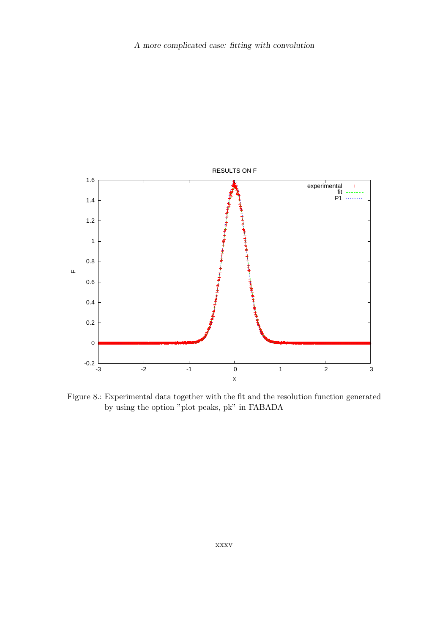

Figure 8.: Experimental data together with the fit and the resolution function generated by using the option "plot peaks, pk" in FABADA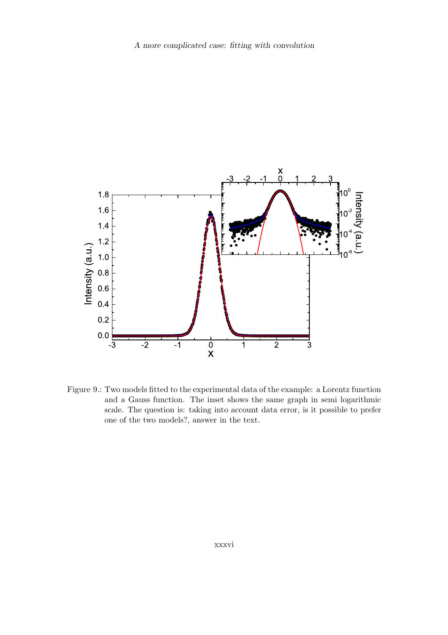

Figure 9.: Two models fitted to the experimental data of the example: a Lorentz function and a Gauss function. The inset shows the same graph in semi logarithmic scale. The question is: taking into account data error, is it possible to prefer one of the two models?, answer in the text.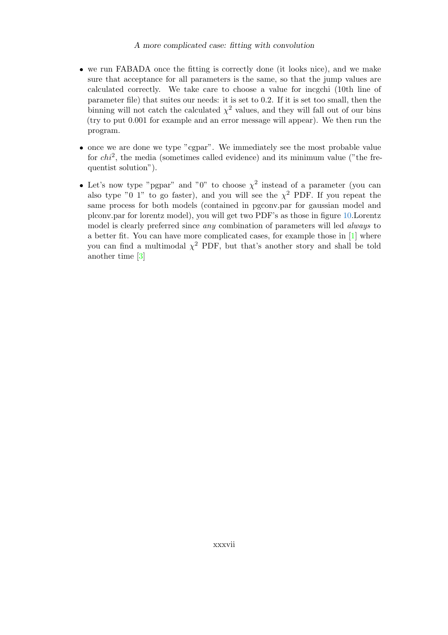- we run FABADA once the fitting is correctly done (it looks nice), and we make sure that acceptance for all parameters is the same, so that the jump values are calculated correctly. We take care to choose a value for incgchi (10th line of parameter file) that suites our needs: it is set to 0.2. If it is set too small, then the binning will not catch the calculated  $\chi^2$  values, and they will fall out of our bins (try to put 0.001 for example and an error message will appear). We then run the program.
- once we are done we type "cgpar". We immediately see the most probable value for  $chi^2$ , the media (sometimes called evidence) and its minimum value ("the frequentist solution").
- Let's now type "pgpar" and "0" to choose  $\chi^2$  instead of a parameter (you can also type "0 1" to go faster), and you will see the  $\chi^2$  PDF. If you repeat the same process for both models (contained in pgconv.par for gaussian model and plconv.par for lorentz model), you will get two PDF's as those in figure 10.Lorentz model is clearly preferred since any combination of parameters will led always to a better fit. You can have more complicated cases, for example those in [1] where you can find a multimodal  $\chi^2$  PDF, but that's another story and shall be told another time [3]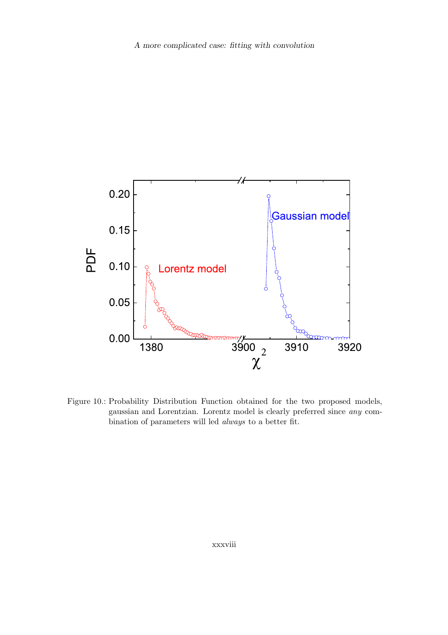

Figure 10.: Probability Distribution Function obtained for the two proposed models, gaussian and Lorentzian. Lorentz model is clearly preferred since any combination of parameters will led always to a better fit.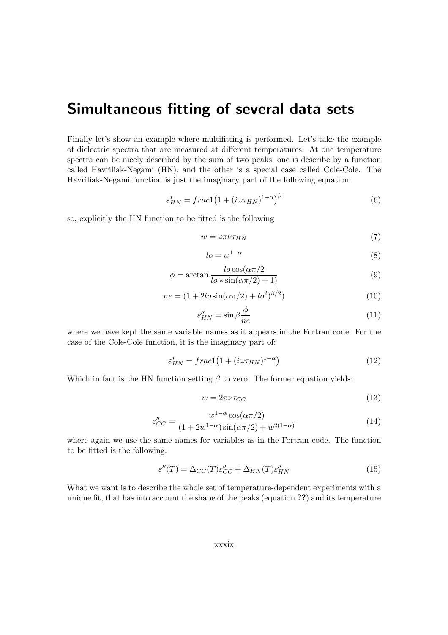# Simultaneous fitting of several data sets

Finally let's show an example where multifitting is performed. Let's take the example of dielectric spectra that are measured at different temperatures. At one temperature spectra can be nicely described by the sum of two peaks, one is describe by a function called Havriliak-Negami (HN), and the other is a special case called Cole-Cole. The Havriliak-Negami function is just the imaginary part of the following equation:

$$
\varepsilon_{HN}^* = \frac{frac11(1 + (i\omega \tau_{HN})^{1-\alpha})^{\beta}}{(6)}
$$

so, explicitly the HN function to be fitted is the following

$$
w = 2\pi\nu\tau_{HN} \tag{7}
$$

$$
lo = w^{1-\alpha} \tag{8}
$$

$$
\phi = \arctan \frac{l \cos(\alpha \pi/2)}{l \cos(\alpha \pi/2) + 1)}
$$
\n(9)

$$
ne = (1 + 2lo\sin(\alpha \pi/2) + lo^2)^{\beta/2})
$$
\n(10)

$$
\varepsilon_{HN}^{\prime\prime} = \sin \beta \frac{\phi}{ne} \tag{11}
$$

where we have kept the same variable names as it appears in the Fortran code. For the case of the Cole-Cole function, it is the imaginary part of:

$$
\varepsilon_{HN}^* = \frac{frac1}{(1 + (i\omega \tau_{HN})^{1-\alpha})} \tag{12}
$$

Which in fact is the HN function setting  $\beta$  to zero. The former equation yields:

$$
w = 2\pi\nu\tau_{CC} \tag{13}
$$

$$
\varepsilon_{CC}'' = \frac{w^{1-\alpha}\cos(\alpha\pi/2)}{(1+2w^{1-\alpha})\sin(\alpha\pi/2) + w^{2(1-\alpha)}}
$$
(14)

where again we use the same names for variables as in the Fortran code. The function to be fitted is the following:

$$
\varepsilon''(T) = \Delta_{CC}(T)\varepsilon''_{CC} + \Delta_{HN}(T)\varepsilon''_{HN}
$$
\n(15)

What we want is to describe the whole set of temperature-dependent experiments with a unique fit, that has into account the shape of the peaks (equation ??) and its temperature

xxxix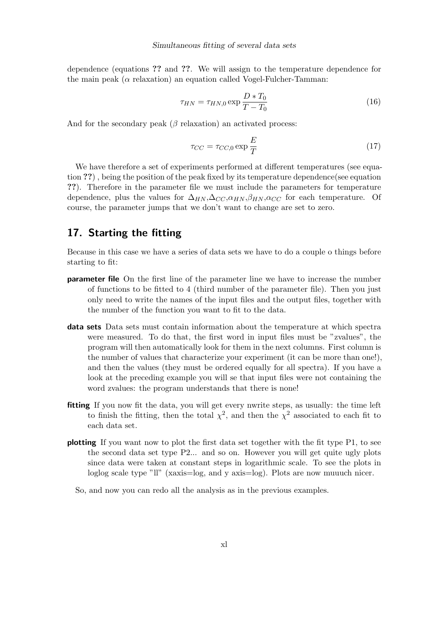dependence (equations ?? and ??. We will assign to the temperature dependence for the main peak ( $\alpha$  relaxation) an equation called Vogel-Fulcher-Tamman:

$$
\tau_{HN} = \tau_{HN,0} \exp \frac{D*T_0}{T - T_0}
$$
\n(16)

And for the secondary peak  $(\beta$  relaxation) an activated process:

$$
\tau_{CC} = \tau_{CC,0} \exp \frac{E}{T}
$$
 (17)

We have therefore a set of experiments performed at different temperatures (see equation ??) , being the position of the peak fixed by its temperature dependence(see equation ??). Therefore in the parameter file we must include the parameters for temperature dependence, plus the values for  $\Delta_{HN}, \Delta_{CC}, \alpha_{HN}, \beta_{HN}, \alpha_{CC}$  for each temperature. Of course, the parameter jumps that we don't want to change are set to zero.

# 17. Starting the fitting

Because in this case we have a series of data sets we have to do a couple o things before starting to fit:

- parameter file On the first line of the parameter line we have to increase the number of functions to be fitted to 4 (third number of the parameter file). Then you just only need to write the names of the input files and the output files, together with the number of the function you want to fit to the data.
- data sets Data sets must contain information about the temperature at which spectra were measured. To do that, the first word in input files must be "zvalues", the program will then automatically look for them in the next columns. First column is the number of values that characterize your experiment (it can be more than one!), and then the values (they must be ordered equally for all spectra). If you have a look at the preceding example you will se that input files were not containing the word zvalues: the program understands that there is none!
- fitting If you now fit the data, you will get every nwrite steps, as usually: the time left to finish the fitting, then the total  $\chi^2$ , and then the  $\chi^2$  associated to each fit to each data set.
- plotting If you want now to plot the first data set together with the fit type P1, to see the second data set type P2... and so on. However you will get quite ugly plots since data were taken at constant steps in logarithmic scale. To see the plots in loglog scale type "ll" (xaxis=log, and y axis=log). Plots are now muuuch nicer.
	- So, and now you can redo all the analysis as in the previous examples.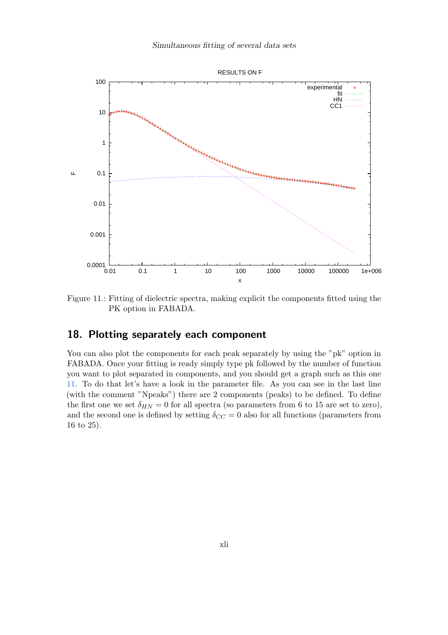

Figure 11.: Fitting of dielectric spectra, making explicit the components fitted using the PK option in FABADA.

# 18. Plotting separately each component

You can also plot the components for each peak separately by using the "pk" option in FABADA. Once your fitting is ready simply type pk followed by the number of function you want to plot separated in components, and you should get a graph such as this one 11. To do that let's have a look in the parameter file. As you can see in the last line (with the comment "Npeaks") there are 2 components (peaks) to be defined. To define the first one we set  $\delta_{HN} = 0$  for all spectra (so parameters from 6 to 15 are set to zero), and the second one is defined by setting  $\delta_{CC} = 0$  also for all functions (parameters from 16 to 25).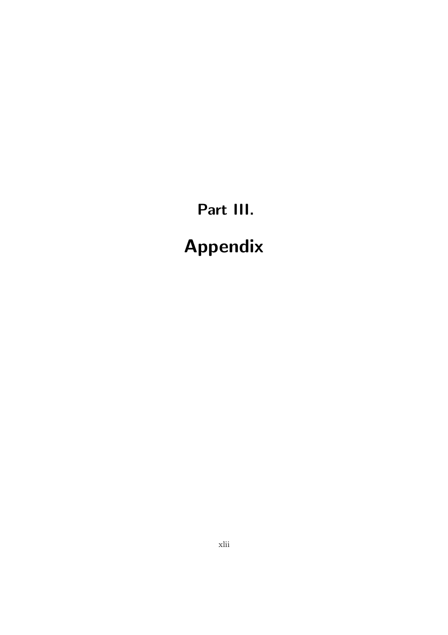# Part III. Appendix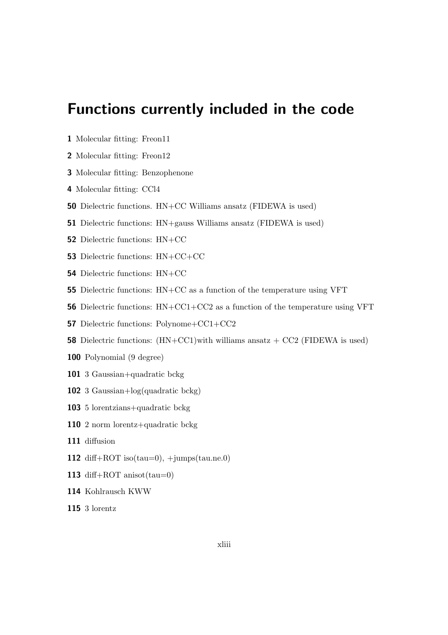# Functions currently included in the code

- Molecular fitting: Freon11
- Molecular fitting: Freon12
- Molecular fitting: Benzophenone
- Molecular fitting: CCl4
- Dielectric functions. HN+CC Williams ansatz (FIDEWA is used)
- Dielectric functions: HN+gauss Williams ansatz (FIDEWA is used)
- Dielectric functions: HN+CC
- Dielectric functions: HN+CC+CC
- Dielectric functions: HN+CC
- Dielectric functions: HN+CC as a function of the temperature using VFT
- Dielectric functions: HN+CC1+CC2 as a function of the temperature using VFT
- Dielectric functions: Polynome+CC1+CC2
- **58** Dielectric functions:  $(HN+CC1)$  with williams ansatz  $+ CC2$  (FIDEWA is used)
- Polynomial (9 degree)
- 3 Gaussian+quadratic bckg
- 3 Gaussian+log(quadratic bckg)
- 5 lorentzians+quadratic bckg
- 2 norm lorentz+quadratic bckg
- diffusion
- 112 diff+ROT iso(tau=0),  $+jumps(tau(ne.0)$
- 113 diff+ROT anisot $(tau=0)$
- Kohlrausch KWW
- 3 lorentz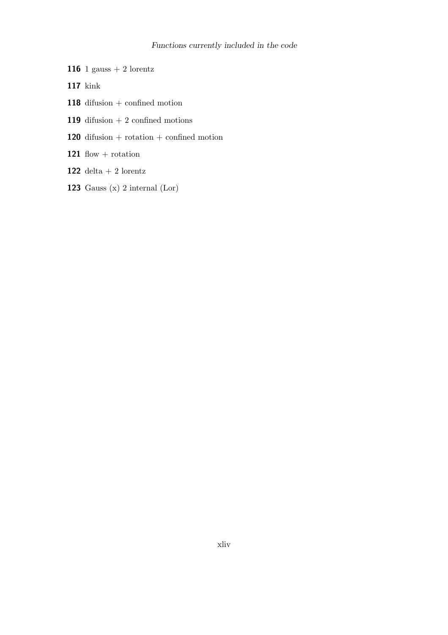### Functions currently included in the code

- **116** 1 gauss  $+$  2 lorentz
- 117 kink
- 118 difusion + confined motion
- **119** difusion  $+ 2$  confined motions
- 120 difusion + rotation + confined motion
- 121 flow  $+$  rotation
- 122 delta + 2 lorentz
- 123 Gauss  $(x)$  2 internal  $(Lor)$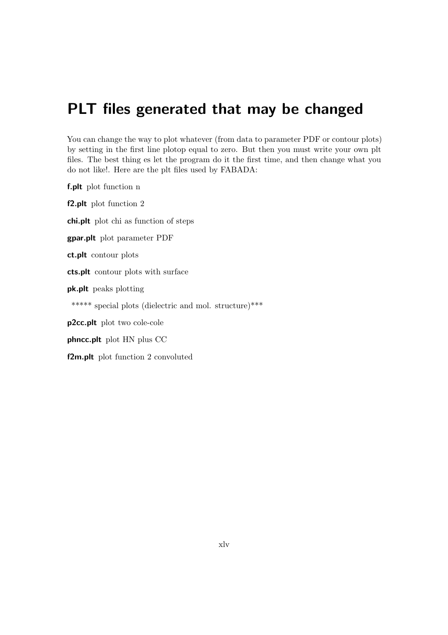# PLT files generated that may be changed

You can change the way to plot whatever (from data to parameter PDF or contour plots) by setting in the first line plotop equal to zero. But then you must write your own plt files. The best thing es let the program do it the first time, and then change what you do not like!. Here are the plt files used by FABADA:

f.plt plot function n f2.plt plot function 2 chi.plt plot chi as function of steps gpar.plt plot parameter PDF ct.plt contour plots cts.plt contour plots with surface pk.plt peaks plotting \*\*\*\*\* special plots (dielectric and mol. structure)\*\*\* p2cc.plt plot two cole-cole phncc.plt plot HN plus CC f2m.plt plot function 2 convoluted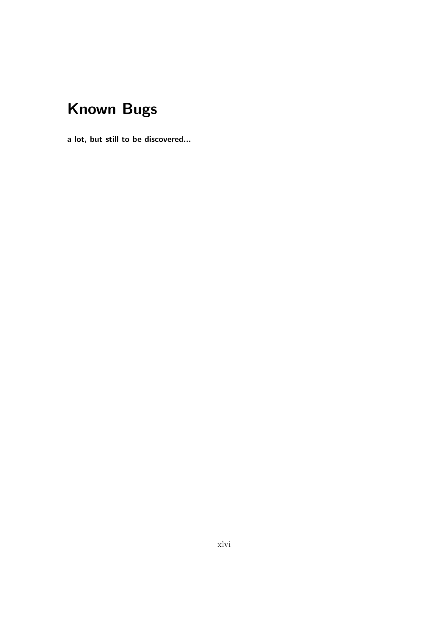# Known Bugs

a lot, but still to be discovered...